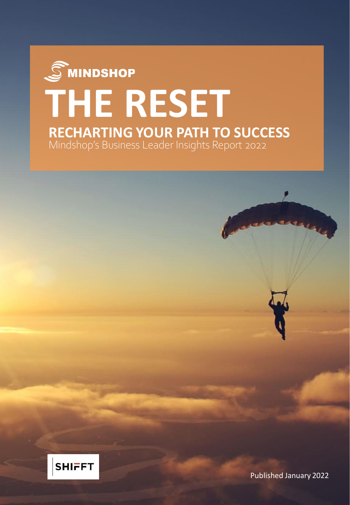# $\mathcal{\widehat{S}}$ MINDSHOP **THE RESET RECHARTING YOUR PATH TO SUCCESS**Mindshop's Business Leader Insights Report 2022



Published January 2022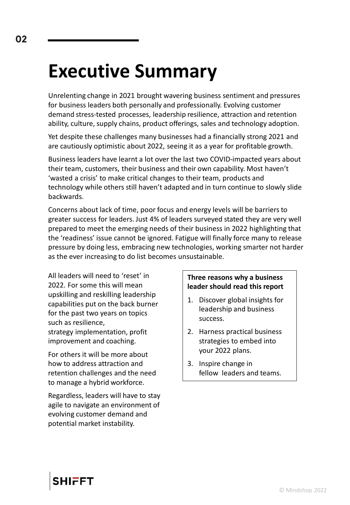## **Executive Summary**

Unrelenting change in 2021 brought wavering business sentiment and pressures for business leaders both personally and professionally. Evolving customer demand stress-tested processes, leadership resilience, attraction and retention ability, culture, supply chains, product offerings, sales and technology adoption.

Yet despite these challenges many businesses had a financially strong 2021 and are cautiously optimistic about 2022, seeing it as a year for profitable growth.

Business leaders have learnt a lot over the last two COVID-impacted years about their team, customers, their business and their own capability. Most haven't 'wasted a crisis' to make critical changes to their team, products and technology while others still haven't adapted and in turn continue to slowly slide backwards.

Concerns about lack of time, poor focus and energy levels will be barriers to greater success for leaders. Just 4% of leaders surveyed stated they are very well prepared to meet the emerging needs of their business in 2022 highlighting that the 'readiness' issue cannot be ignored. Fatigue will finally force many to release pressure by doing less, embracing new technologies, working smarter not harder as the ever increasing to do list becomes unsustainable.

All leaders will need to 'reset' in 2022. For some this will mean upskilling and reskilling leadership capabilities put on the back burner for the past two years on topics such as resilience, strategy implementation, profit improvement and coaching.

For others it will be more about how to address attraction and retention challenges and the need to manage a hybrid workforce.

Regardless, leaders will have to stay agile to navigate an environment of evolving customer demand and potential market instability.

## **Three reasons why a business leader should read this report**

- 1. Discover global insights for leadership and business success.
- 2. Harness practical business strategies to embed into your 2022 plans.
- 3. Inspire change in fellow leaders and teams.



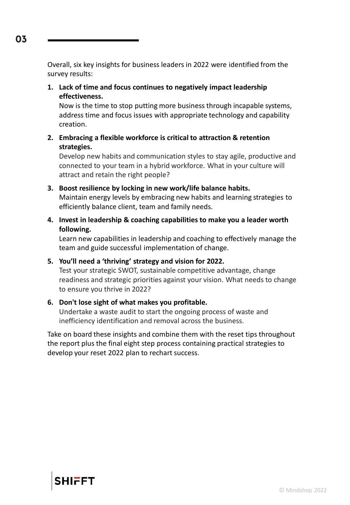Overall, six key insights for business leaders in 2022 were identified from the survey results:

**1. Lack of time and focus continues to negatively impact leadership effectiveness.**

Now is the time to stop putting more business through incapable systems, address time and focus issues with appropriate technology and capability creation.

**2. Embracing a flexible workforce is critical to attraction & retention strategies.**

Develop new habits and communication styles to stay agile, productive and connected to your team in a hybrid workforce. What in your culture will attract and retain the right people?

- **3. Boost resilience by locking in new work/life balance habits.** Maintain energy levels by embracing new habits and learning strategies to efficiently balance client, team and family needs.
- **4. Invest in leadership & coaching capabilities to make you a leader worth following.**

Learn new capabilities in leadership and coaching to effectively manage the team and guide successful implementation of change.

#### **5. You'll need a 'thriving' strategy and vision for 2022.**

Test your strategic SWOT, sustainable competitive advantage, change readiness and strategic priorities against your vision. What needs to change to ensure you thrive in 2022?

#### **6. Don't lose sight of what makes you profitable.**

Undertake a waste audit to start the ongoing process of waste and inefficiency identification and removal across the business.

Take on board these insights and combine them with the reset tips throughout the report plus the final eight step process containing practical strategies to develop your reset 2022 plan to rechart success.



© Mindshop 2022

03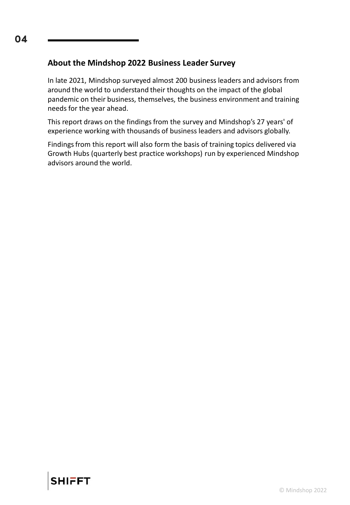## **About the Mindshop 2022 Business Leader Survey**

In late 2021, Mindshop surveyed almost 200 business leaders and advisors from around the world to understand their thoughts on the impact of the global pandemic on their business, themselves, the business environment and training needs for the year ahead.

This report draws on the findings from the survey and Mindshop's 27 years' of experience working with thousands of business leaders and advisors globally.

Findings from this report will also form the basis of training topics delivered via Growth Hubs (quarterly best practice workshops) run by experienced Mindshop advisors around the world.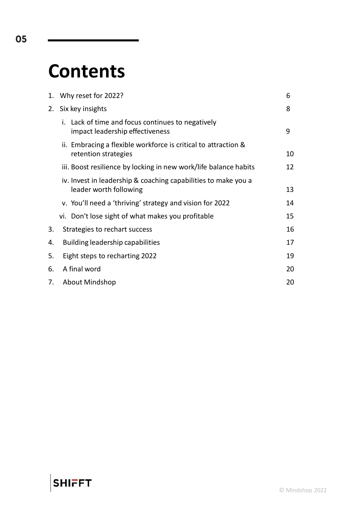## **Contents**

|    | 1. Why reset for 2022?                                                                   | 6  |
|----|------------------------------------------------------------------------------------------|----|
|    | 2. Six key insights                                                                      | 8  |
|    | i. Lack of time and focus continues to negatively<br>impact leadership effectiveness     | 9  |
|    | ii. Embracing a flexible workforce is critical to attraction &<br>retention strategies   | 10 |
|    | iii. Boost resilience by locking in new work/life balance habits                         | 12 |
|    | iv. Invest in leadership & coaching capabilities to make you a<br>leader worth following | 13 |
|    | v. You'll need a 'thriving' strategy and vision for 2022                                 | 14 |
|    | vi. Don't lose sight of what makes you profitable                                        | 15 |
| 3. | Strategies to rechart success                                                            | 16 |
| 4. | <b>Building leadership capabilities</b><br>17                                            |    |
| 5. | Eight steps to recharting 2022                                                           |    |
| 6. | A final word                                                                             |    |
| 7. | <b>About Mindshop</b>                                                                    | 20 |

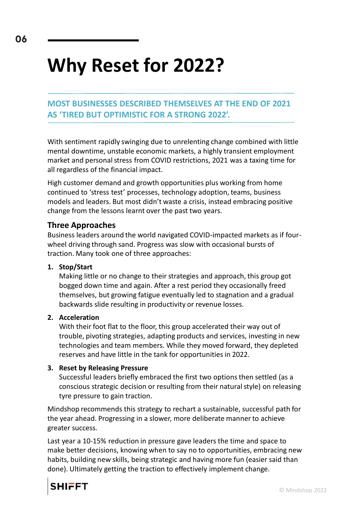# **Why Reset for 2022?**

**MOST BUSINESSES DESCRIBED THEMSELVES AT THE END OF 2021 AS 'TIRED BUT OPTIMISTIC FOR A STRONG 2022'.**

With sentiment rapidly swinging due to unrelenting change combined with little mental downtime, unstable economic markets, a highly transient employment market and personal stress from COVID restrictions, 2021 was a taxing time for all regardless of the financial impact.

High customer demand and growth opportunities plus working from home continued to 'stress test' processes, technology adoption, teams, business models and leaders. But most didn't waste a crisis, instead embracing positive change from the lessons learnt over the past two years.

## **Three Approaches**

Business leaders around the world navigated COVID-impacted markets as if fourwheel driving through sand. Progress was slow with occasional bursts of traction. Many took one of three approaches:

#### **1. Stop/Start**

Making little or no change to their strategies and approach, this group got bogged down time and again. After a rest period they occasionally freed themselves, but growing fatigue eventually led to stagnation and a gradual backwards slide resulting in productivity or revenue losses.

#### **2. Acceleration**

With their foot flat to the floor, this group accelerated their way out of trouble, pivoting strategies, adapting products and services, investing in new technologies and team members. While they moved forward, they depleted reserves and have little in the tank for opportunities in 2022.

#### **3. Reset by Releasing Pressure**

Successful leaders briefly embraced the first two options then settled (as a conscious strategic decision or resulting from their natural style) on releasing tyre pressure to gain traction.

Mindshop recommends this strategy to rechart a sustainable, successful path for the year ahead. Progressing in a slower, more deliberate manner to achieve greater success.

Last year a 10-15% reduction in pressure gave leaders the time and space to make better decisions, knowing when to say no to opportunities, embracing new habits, building new skills, being strategic and having more fun (easier said than done). Ultimately getting the traction to effectively implement change.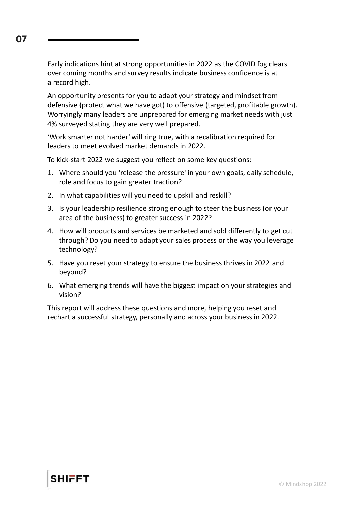Early indications hint at strong opportunities in 2022 as the COVID fog clears over coming months and survey results indicate business confidence is at a record high.

An opportunity presents for you to adapt your strategy and mindset from defensive (protect what we have got) to offensive (targeted, profitable growth). Worryingly many leaders are unprepared for emerging market needs with just 4% surveyed stating they are very well prepared.

'Work smarter not harder' will ring true, with a recalibration required for leaders to meet evolved market demands in 2022.

To kick-start 2022 we suggest you reflect on some key questions:

- 1. Where should you 'release the pressure' in your own goals, daily schedule, role and focus to gain greater traction?
- 2. In what capabilities will you need to upskill and reskill?
- 3. Is your leadership resilience strong enough to steer the business (or your area of the business) to greater success in 2022?
- 4. How will products and services be marketed and sold differently to get cut through? Do you need to adapt your sales process or the way you leverage technology?
- 5. Have you reset your strategy to ensure the business thrives in 2022 and beyond?
- 6. What emerging trends will have the biggest impact on your strategies and vision?

This report will address these questions and more, helping you reset and rechart a successful strategy, personally and across your business in 2022.

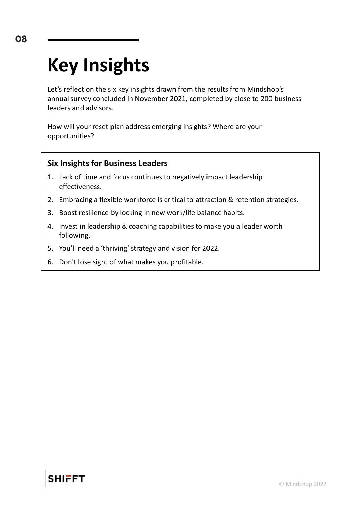# **Key Insights**

Let's reflect on the six key insights drawn from the results from Mindshop's annual survey concluded in November 2021, completed by close to 200 business leaders and advisors.

How will your reset plan address emerging insights? Where are your opportunities?

## **Six Insights for Business Leaders**

- 1. Lack of time and focus continues to negatively impact leadership effectiveness.
- 2. Embracing a flexible workforce is critical to attraction & retention strategies.
- 3. Boost resilience by locking in new work/life balance habits.
- 4. Invest in leadership & coaching capabilities to make you a leader worth following.
- 5. You'll need a 'thriving' strategy and vision for 2022.
- 6. Don't lose sight of what makes you profitable.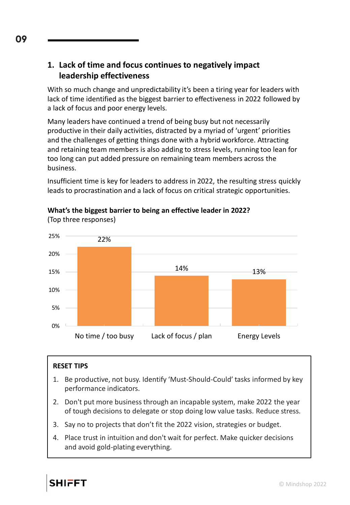## **1. Lack of time and focus continues to negatively impact leadership effectiveness**

With so much change and unpredictability it's been a tiring year for leaders with lack of time identified as the biggest barrier to effectiveness in 2022 followed by a lack of focus and poor energy levels.

Many leaders have continued a trend of being busy but not necessarily productive in their daily activities, distracted by a myriad of 'urgent' priorities and the challenges of getting things done with a hybrid workforce. Attracting and retaining team members is also adding to stress levels, running too lean for too long can put added pressure on remaining team members across the business.

Insufficient time is key for leaders to address in 2022, the resulting stress quickly leads to procrastination and a lack of focus on critical strategic opportunities.



## **What's the biggest barrier to being an effective leader in 2022?**

#### **RESET TIPS**

(Top three responses)

- 1. Be productive, not busy. Identify 'Must-Should-Could' tasks informed by key performance indicators.
- 2. Don't put more business through an incapable system, make 2022 the year of tough decisions to delegate or stop doing low value tasks. Reduce stress.
- 3. Say no to projects that don't fit the 2022 vision, strategies or budget.
- 4. Place trust in intuition and don't wait for perfect. Make quicker decisions and avoid gold-plating everything.

09

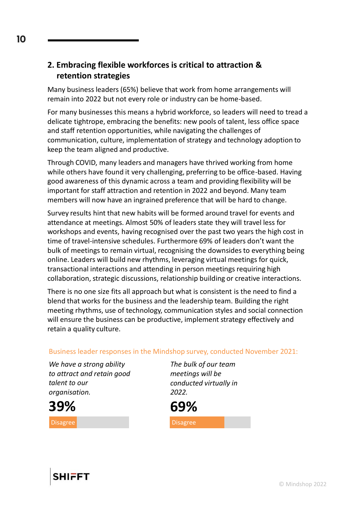## **2. Embracing flexible workforces is critical to attraction & retention strategies**

Many business leaders (65%) believe that work from home arrangements will remain into 2022 but not every role or industry can be home-based.

For many businesses this means a hybrid workforce, so leaders will need to tread a delicate tightrope, embracing the benefits: new pools of talent, less office space and staff retention opportunities, while navigating the challenges of communication, culture, implementation of strategy and technology adoption to keep the team aligned and productive.

Through COVID, many leaders and managers have thrived working from home while others have found it very challenging, preferring to be office-based. Having good awareness of this dynamic across a team and providing flexibility will be important for staff attraction and retention in 2022 and beyond. Many team members will now have an ingrained preference that will be hard to change.

Survey results hint that new habits will be formed around travel for events and attendance at meetings. Almost 50% of leaders state they will travel less for workshops and events, having recognised over the past two years the high cost in time of travel-intensive schedules. Furthermore 69% of leaders don't want the bulk of meetings to remain virtual, recognising the downsides to everything being online. Leaders will build new rhythms, leveraging virtual meetings for quick, transactional interactions and attending in person meetings requiring high collaboration, strategic discussions, relationship building or creative interactions.

There is no one size fits all approach but what is consistent is the need to find a blend that works for the business and the leadership team. Building the right meeting rhythms, use of technology, communication styles and social connection will ensure the business can be productive, implement strategy effectively and retain a quality culture.

Business leader responses in the Mindshop survey, conducted November 2021:

*We have a strong ability to attract and retain good talent to our organisation.*

*The bulk of our team meetings will be conducted virtually in 2022.*



Disagree

10



**39%**

Disagree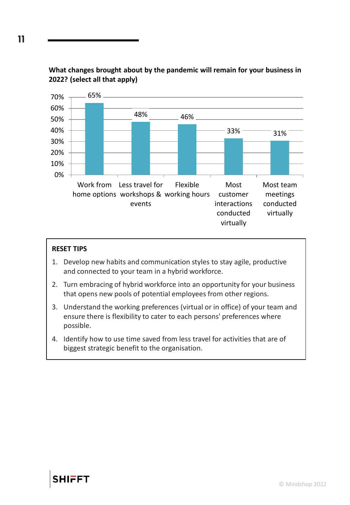

## **What changes brought about by the pandemic will remain for your business in 2022? (select all that apply)**

## **RESET TIPS**

- 1. Develop new habits and communication styles to stay agile, productive and connected to your team in a hybrid workforce.
- 2. Turn embracing of hybrid workforce into an opportunity for your business that opens new pools of potential employees from other regions.
- 3. Understand the working preferences (virtual or in office) of your team and ensure there is flexibility to cater to each persons' preferences where possible.
- 4. Identify how to use time saved from less travel for activities that are of biggest strategic benefit to the organisation.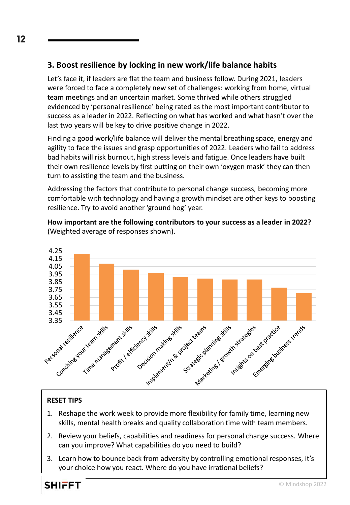## **3. Boost resilience by locking in new work/life balance habits**

Let's face it, if leaders are flat the team and business follow. During 2021, leaders were forced to face a completely new set of challenges: working from home, virtual team meetings and an uncertain market. Some thrived while others struggled evidenced by 'personal resilience' being rated as the most important contributor to success as a leader in 2022. Reflecting on what has worked and what hasn't over the last two years will be key to drive positive change in 2022.

Finding a good work/life balance will deliver the mental breathing space, energy and agility to face the issues and grasp opportunities of 2022. Leaders who fail to address bad habits will risk burnout, high stress levels and fatigue. Once leaders have built their own resilience levels by first putting on their own 'oxygen mask' they can then turn to assisting the team and the business.

Addressing the factors that contribute to personal change success, becoming more comfortable with technology and having a growth mindset are other keys to boosting resilience. Try to avoid another 'ground hog' year.

**How important are the following contributors to your success as a leader in 2022?** (Weighted average of responses shown).



## **RESET TIPS**

- 1. Reshape the work week to provide more flexibility for family time, learning new skills, mental health breaks and quality collaboration time with team members.
- 2. Review your beliefs, capabilities and readiness for personal change success. Where can you improve? What capabilities do you need to build?
- 3. Learn how to bounce back from adversity by controlling emotional responses, it's your choice how you react. Where do you have irrational beliefs?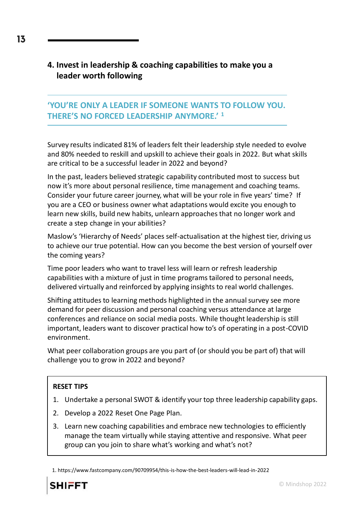## **4. Invest in leadership & coaching capabilities to make you a leader worth following**

## **'YOU'RE ONLY A LEADER IF SOMEONE WANTS TO FOLLOW YOU. THERE'S NO FORCED LEADERSHIP ANYMORE.' <sup>1</sup>**

Survey results indicated 81% of leaders felt their leadership style needed to evolve and 80% needed to reskill and upskill to achieve their goals in 2022. But what skills are critical to be a successful leader in 2022 and beyond?

In the past, leaders believed strategic capability contributed most to success but now it's more about personal resilience, time management and coaching teams. Consider your future career journey, what will be your role in five years' time? If you are a CEO or business owner what adaptations would excite you enough to learn new skills, build new habits, unlearn approaches that no longer work and create a step change in your abilities?

Maslow's 'Hierarchy of Needs' places self-actualisation at the highest tier, driving us to achieve our true potential. How can you become the best version of yourself over the coming years?

Time poor leaders who want to travel less will learn or refresh leadership capabilities with a mixture of just in time programs tailored to personal needs, delivered virtually and reinforced by applying insights to real world challenges.

Shifting attitudes to learning methods highlighted in the annual survey see more demand for peer discussion and personal coaching versus attendance at large conferences and reliance on social media posts. While thought leadership is still important, leaders want to discover practical how to's of operating in a post-COVID environment.

What peer collaboration groups are you part of (or should you be part of) that will challenge you to grow in 2022 and beyond?

## **RESET TIPS**

- 1. Undertake a personal SWOT & identify your top three leadership capability gaps.
- 2. Develop a 2022 Reset One Page Plan.
- 3. Learn new coaching capabilities and embrace new technologies to efficiently manage the team virtually while staying attentive and responsive. What peer group can you join to share what's working and what's not?

<sup>1.</sup> https://www.fastcompany.com/90709954/this-is-how-the-best-leaders-will-lead-in-2022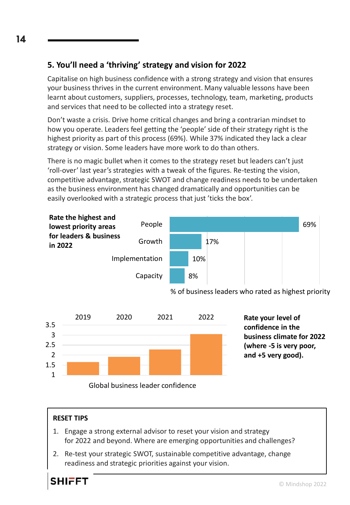## **5. You'll need a 'thriving' strategy and vision for 2022**

Capitalise on high business confidence with a strong strategy and vision that ensures your business thrives in the current environment. Many valuable lessons have been learnt about customers, suppliers, processes, technology, team, marketing, products and services that need to be collected into a strategy reset.

Don't waste a crisis. Drive home critical changes and bring a contrarian mindset to how you operate. Leaders feel getting the 'people' side of their strategy right is the highest priority as part of this process (69%). While 37% indicated they lack a clear strategy or vision. Some leaders have more work to do than others.

There is no magic bullet when it comes to the strategy reset but leaders can't just 'roll-over' last year's strategies with a tweak of the figures. Re-testing the vision, competitive advantage, strategic SWOT and change readiness needs to be undertaken as the business environment has changed dramatically and opportunities can be easily overlooked with a strategic process that just 'ticks the box'.







**Rate your level of confidence in the business climate for 2022 (where -5 is very poor, and +5 very good).** 

#### **RESET TIPS**

- 1. Engage a strong external advisor to reset your vision and strategy for 2022 and beyond. Where are emerging opportunities and challenges?
- 2. Re-test your strategic SWOT, sustainable competitive advantage, change readiness and strategic priorities against your vision.

14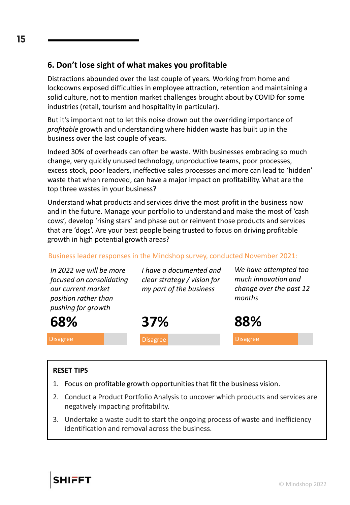## **6. Don't lose sight of what makes you profitable**

Distractions abounded over the last couple of years. Working from home and lockdowns exposed difficulties in employee attraction, retention and maintaining a solid culture, not to mention market challenges brought about by COVID for some industries (retail, tourism and hospitality in particular).

But it's important not to let this noise drown out the overriding importance of *profitable* growth and understanding where hidden waste has built up in the business over the last couple of years.

Indeed 30% of overheads can often be waste. With businesses embracing so much change, very quickly unused technology, unproductive teams, poor processes, excess stock, poor leaders, ineffective sales processes and more can lead to 'hidden' waste that when removed, can have a major impact on profitability. What are the top three wastes in your business?

Understand what products and services drive the most profit in the business now and in the future. Manage your portfolio to understand and make the most of 'cash cows', develop 'rising stars' and phase out or reinvent those products and services that are 'dogs'. Are your best people being trusted to focus on driving profitable growth in high potential growth areas?

### Business leader responses in the Mindshop survey, conducted November 2021:

| In 2022 we will be more<br>focused on consolidating<br>our current market<br>position rather than<br>pushing for growth | I have a documented and<br>clear strategy / vision for<br>my part of the business | We have attempted too<br>much innovation and<br>change over the past 12<br>months |
|-------------------------------------------------------------------------------------------------------------------------|-----------------------------------------------------------------------------------|-----------------------------------------------------------------------------------|
| 68%                                                                                                                     | <b>37%</b>                                                                        | 88%                                                                               |
| <b>Disagree</b>                                                                                                         | <b>Disagree</b>                                                                   | <b>Disagree</b>                                                                   |

#### **RESET TIPS**

- 1. Focus on profitable growth opportunities that fit the business vision.
- 2. Conduct a Product Portfolio Analysis to uncover which products and services are negatively impacting profitability.
- 3. Undertake a waste audit to start the ongoing process of waste and inefficiency identification and removal across the business.

15

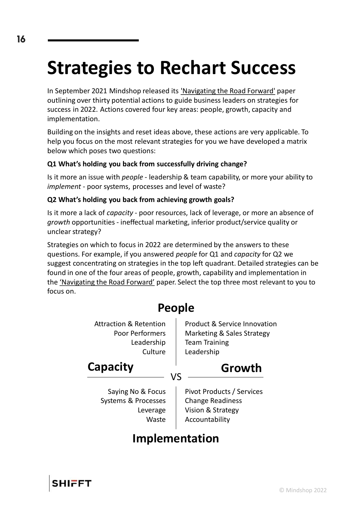# **Strategies to Rechart Success**

In September 2021 Mindshop released its ['Navigating the Road Forward'](https://web.mindshop.com/wp-content/uploads/2022/01/Mindshop-Navigating-the-Road-Forward-Paper.pdf) paper outlining over thirty potential actions to guide business leaders on strategies for success in 2022. Actions covered four key areas: people, growth, capacity and implementation.

Building on the insights and reset ideas above, these actions are very applicable. To help you focus on the most relevant strategies for you we have developed a matrix below which poses two questions:

## **Q1 What's holding you back from successfully driving change?**

Is it more an issue with *people* - leadership & team capability, or more your ability to *implement* - poor systems, processes and level of waste?

#### **Q2 What's holding you back from achieving growth goals?**

Is it more a lack of *capacity* - poor resources, lack of leverage, or more an absence of *growth* opportunities - ineffectual marketing, inferior product/service quality or unclear strategy?

Strategies on which to focus in 2022 are determined by the answers to these questions. For example, if you answered *people* for Q1 and *capacity* for Q2 we suggest concentrating on strategies in the top left quadrant. Detailed strategies can be found in one of the four areas of people, growth, capability and implementation in the ['Navigating the Road Forward'](https://web.mindshop.com/wp-content/uploads/2022/01/Mindshop-Navigating-the-Road-Forward-Paper.pdf) paper. Select the top three most relevant to you to focus on.





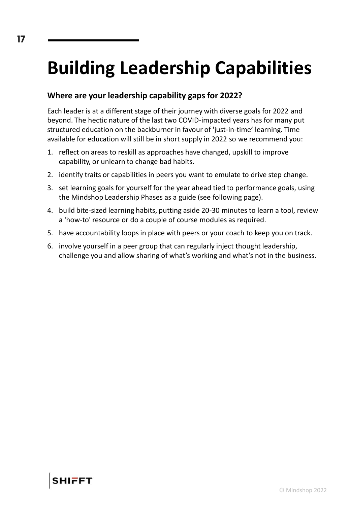# **Building Leadership Capabilities**

## **Where are your leadership capability gaps for 2022?**

Each leader is at a different stage of their journey with diverse goals for 2022 and beyond. The hectic nature of the last two COVID-impacted years has for many put structured education on the backburner in favour of 'just-in-time' learning. Time available for education will still be in short supply in 2022 so we recommend you:

- 1. reflect on areas to reskill as approaches have changed, upskill to improve capability, or unlearn to change bad habits.
- 2. identify traits or capabilities in peers you want to emulate to drive step change.
- 3. set learning goals for yourself for the year ahead tied to performance goals, using the Mindshop Leadership Phases as a guide (see following page).
- 4. build bite-sized learning habits, putting aside 20-30 minutes to learn a tool, review a 'how-to' resource or do a couple of course modules as required.
- 5. have accountability loops in place with peers or your coach to keep you on track.
- 6. involve yourself in a peer group that can regularly inject thought leadership, challenge you and allow sharing of what's working and what's not in the business.

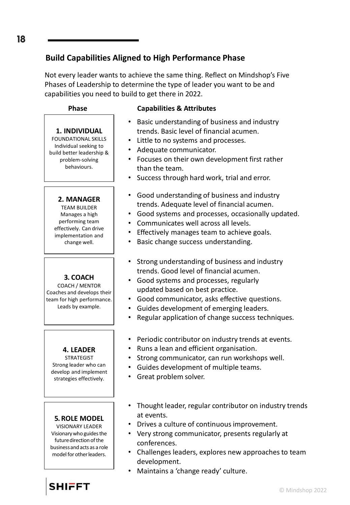## **Build Capabilities Aligned to High Performance Phase**

Not every leader wants to achieve the same thing. Reflect on Mindshop's Five Phases of Leadership to determine the type of leader you want to be and capabilities you need to build to get there in 2022.

**1. INDIVIDUAL** FOUNDATIONAL SKILLS Individual seeking to build better leadership & problem-solving behaviours.

#### **Phase Capabilities & Attributes**

- Basic understanding of business and industry trends. Basic level of financial acumen.
- Little to no systems and processes.
- Adequate communicator.
- Focuses on their own development first rather than the team.
- Success through hard work, trial and error.
- Good understanding of business and industry trends. Adequate level of financial acumen.
- Good systems and processes, occasionally updated.
- Communicates well across all levels.
- Effectively manages team to achieve goals.
- Basic change success understanding.
- Strong understanding of business and industry trends. Good level of financial acumen.
- Good systems and processes, regularly updated based on best practice.
- Good communicator, asks effective questions.
- Guides development of emerging leaders.
- Regular application of change success techniques.
- Periodic contributor on industry trends at events.
- Runs a lean and efficient organisation.
- Strong communicator, can run workshops well.
- Guides development of multiple teams.
- Great problem solver.
- Thought leader, regular contributor on industry trends at events.
- Drives a culture of continuous improvement.
- Very strong communicator, presents regularly at conferences.
- Challenges leaders, explores new approaches to team development.
- Maintains a 'change ready' culture.

## 18

**SHIFFT** 

**5. ROLE MODEL** VISIONARY LEADER Visionary who guides the future direction of the business and acts as a role model for other leaders.

**4. LEADER** STRATEGIST Strong leader who can develop and implement strategies effectively.

**3. COACH** COACH / MENTOR Coaches and develops their team for high performance. Leads by example.

**2. MANAGER** TEAM BUILDER Manages a high performing team effectively. Can drive implementation and change well.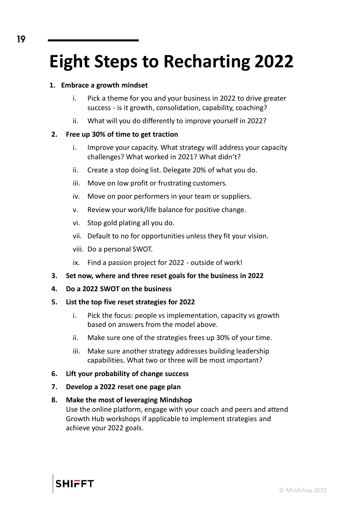## **Eight Steps to Recharting 2022**

#### **1. Embrace a growth mindset**

- i. Pick a theme for you and your business in 2022 to drive greater success - is it growth, consolidation, capability, coaching?
- ii. What will you do differently to improve yourself in 2022?

## **2. Free up 30% of time to get traction**

- i. Improve your capacity. What strategy will address your capacity challenges? What worked in 2021? What didn't?
- ii. Create a stop doing list. Delegate 20% of what you do.
- iii. Move on low profit or frustrating customers.
- iv. Move on poor performers in your team or suppliers.
- v. Review your work/life balance for positive change.
- vi. Stop gold plating all you do.
- vii. Default to no for opportunities unless they fit your vision.
- viii. Do a personal SWOT.
- ix. Find a passion project for 2022 outside of work!
- **3. Set now, where and three reset goals for the business in 2022**
- **4. Do a 2022 SWOT on the business**

#### **5. List the top five reset strategies for 2022**

- i. Pick the focus: people vs implementation, capacity vs growth based on answers from the model above.
- ii. Make sure one of the strategies frees up 30% of your time.
- iii. Make sure another strategy addresses building leadership capabilities. What two or three will be most important?
- **6. Lift your probability of change success**
- **7. Develop a 2022 reset one page plan**

## **8. Make the most of leveraging Mindshop**

Use the online platform, engage with your coach and peers and attend Growth Hub workshops if applicable to implement strategies and achieve your 2022 goals.



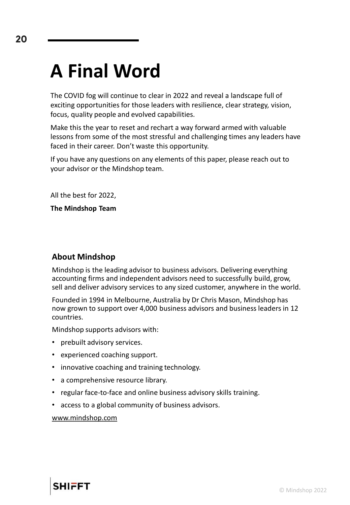## **A Final Word**

The COVID fog will continue to clear in 2022 and reveal a landscape full of exciting opportunities for those leaders with resilience, clear strategy, vision, focus, quality people and evolved capabilities.

Make this the year to reset and rechart a way forward armed with valuable lessons from some of the most stressful and challenging times any leaders have faced in their career. Don't waste this opportunity.

If you have any questions on any elements of this paper, please reach out to your advisor or the Mindshop team.

All the best for 2022,

**The Mindshop Team**

## **About Mindshop**

Mindshop is the leading advisor to business advisors. Delivering everything accounting firms and independent advisors need to successfully build, grow, sell and deliver advisory services to any sized customer, anywhere in the world.

Founded in 1994 in Melbourne, Australia by Dr Chris Mason, Mindshop has now grown to support over 4,000 business advisors and business leaders in 12 countries.

Mindshop supports advisors with:

- prebuilt advisory services.
- experienced coaching support.
- innovative coaching and training technology.
- a comprehensive resource library.
- regular face-to-face and online business advisory skills training.
- access to a global community of business advisors.

[www.mindshop.com](https://web.mindshop.com/)